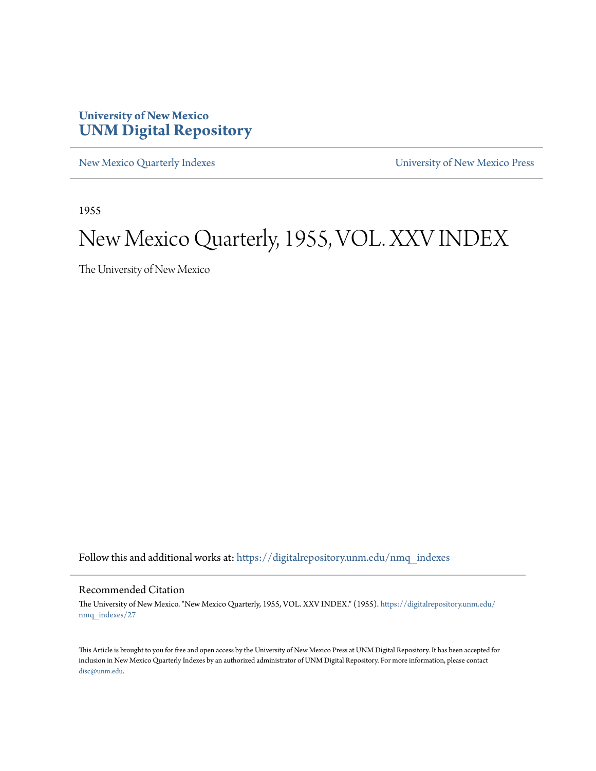### **University of New Mexico [UNM Digital Repository](https://digitalrepository.unm.edu?utm_source=digitalrepository.unm.edu%2Fnmq_indexes%2F27&utm_medium=PDF&utm_campaign=PDFCoverPages)**

[New Mexico Quarterly Indexes](https://digitalrepository.unm.edu/nmq_indexes?utm_source=digitalrepository.unm.edu%2Fnmq_indexes%2F27&utm_medium=PDF&utm_campaign=PDFCoverPages) [University of New Mexico Press](https://digitalrepository.unm.edu/press?utm_source=digitalrepository.unm.edu%2Fnmq_indexes%2F27&utm_medium=PDF&utm_campaign=PDFCoverPages)

1955

## New Mexico Quarterly, 1955, VOL. XXV INDEX

The University of New Mexico

Follow this and additional works at: [https://digitalrepository.unm.edu/nmq\\_indexes](https://digitalrepository.unm.edu/nmq_indexes?utm_source=digitalrepository.unm.edu%2Fnmq_indexes%2F27&utm_medium=PDF&utm_campaign=PDFCoverPages)

### Recommended Citation

The University of New Mexico. "New Mexico Quarterly, 1955, VOL. XXV INDEX." (1955). [https://digitalrepository.unm.edu/](https://digitalrepository.unm.edu/nmq_indexes/27?utm_source=digitalrepository.unm.edu%2Fnmq_indexes%2F27&utm_medium=PDF&utm_campaign=PDFCoverPages) [nmq\\_indexes/27](https://digitalrepository.unm.edu/nmq_indexes/27?utm_source=digitalrepository.unm.edu%2Fnmq_indexes%2F27&utm_medium=PDF&utm_campaign=PDFCoverPages)

This Article is brought to you for free and open access by the University of New Mexico Press at UNM Digital Repository. It has been accepted for inclusion in New Mexico Quarterly Indexes by an authorized administrator of UNM Digital Repository. For more information, please contact [disc@unm.edu](mailto:disc@unm.edu).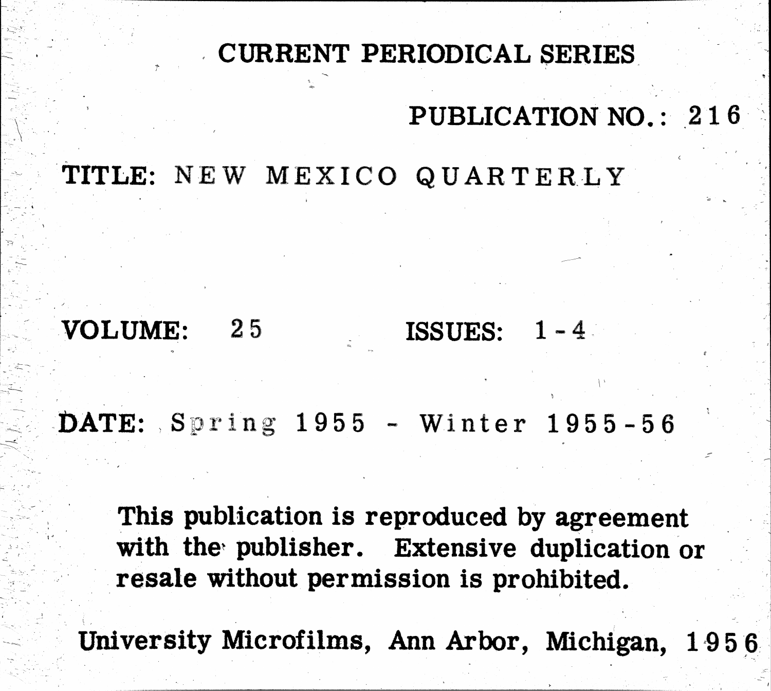# CURRENT PERIODICAL SERIES PUBLICATION NO.: 216

ISSUES:

TITLE: NEW MEXICO QUARTERLY

VOLUME: 25

DATE: Spring 1955 - Winter 1955-56

This publication is reproduced by agreement with the publisher. Extensive duplication or resale without permission is prohibited.

University Microfilms, Ann Arbor, Michigan, 1956

 $1 - 4$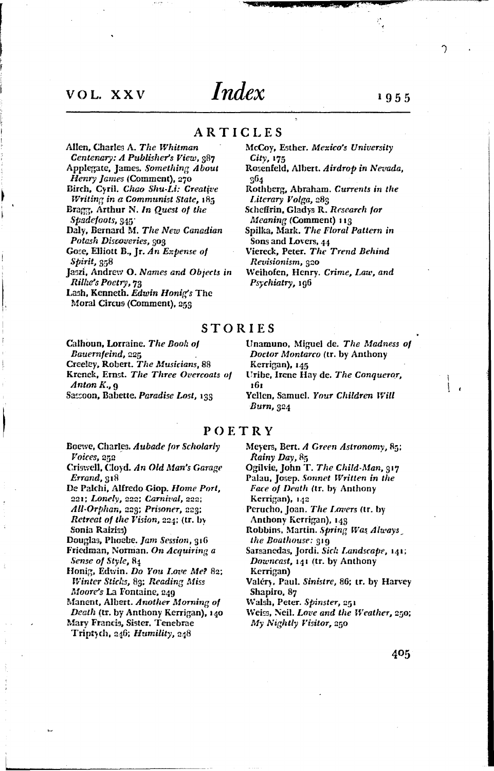### VOL. XXV

# *Index*

ARTICLES

Allen, Charles A. The Whitman

Centenary: A Publisher's View, 987 Applegate, James. Something About

Henry James (Comment), 270

- Birch, Cyril. Chao Shu-Li: Creative Writing in a Communist State, 185 Bragg, Arthur N. In Quest of the
- Spadefoots, 345 Daly, Bernard M. The New Canadian
- Potash Discoveries, 303
- Gose, Elliott B., Jr. An Expense of Spirit, 358
- Jaszi, Andrew O. Names and Objects in Rilhe's Poetry, 73
- Lash, Kenneth. Edwin Honig's The Moral Circus (Comment), 259

### McCoy, Esther. Mexico's University  $City, 175$

- Rosenfeld, Albert. Airdrop in Nevada, 964
- Rothberg, Abraham. Currents in the Literary Volga, 283
- Scheffrin, Gladys R. Research for Meaning (Comment) 113
- Spilka, Mark. The Floral Pattern in Sons and Lovers, 44
- Viereck, Peter. The Trend Behind Revisionism, 320

Weihofen, Henry. Crime, Law, and Psychiatry, 196

### **STORIES**

Calhoun, Lorraine. The Book of Bauernfeind, 225 Creeley, Robert. The Musicians, 88 Krenek, Ernst. The Three Overcoats of Anton  $K_{ij}$   $q$ Sassoon, Babette. Paradise Lost, 133

Unamuno, Miguel de. The Madness of Doctor Montarco (tr. by Anthony Kerrigan), 145

- Uribe, Irene Hay de. The Conqueror, 161
- Yellen, Samuel. Your Children Will Burn, 324

### POETRY

Boewe, Charles. Aubade for Scholarly Voices, 252

- Criswell, Cloyd. An Old Man's Garage Errand, 318
- De Palchi, Alfredo Giop. Home Port, 221; Lonely, 222; Carnival, 222; All-Orphan, 223; Prisoner, 223; Retreat of the Vision, 224; (tr. by Sonia Raiziss)

Douglas, Phoebe. Jam Session, 316 Friedman, Norman. On Acquiring a

- Sense of Style, 84
- Honig, Edwin. Do You Love Me? 82; Winter Sticks, 89; Reading Miss Moore's La Fontaine, 249
- 
- Manent, Albert. Another Morning of Death (tr. by Anthony Kerrigan), 140 Mary Francis, Sister. Tenebrae
- Triptych, 246; Humility, 248

Meyers, Bert. A Green Astronomy, 85; Rainy Day, 85

- Ogilvie, John T. The Child-Man, 317 Palau, Josep. Sonnet Written in the Face of Death (tr. by Anthony
- Kerrigan), 142
- Perucho, Joan. The Lovers (tr. by Anthony Kerrigan), 143

Robbins, Martin. Spring Was Always the Boathouse: 319

- Sarsanedas, Jordi. Sich Landscape, 141; Downcast, 141 (tr. by Anthony
- Kerrigan)
- Valéry, Paul. Sinistre, 86; tr. by Harvey Shapiro, 87

Walsh, Peter. Spinster, 251

Weiss, Neil. Love and the Weather, 250; My Nightly Visitor, 250

405

1955